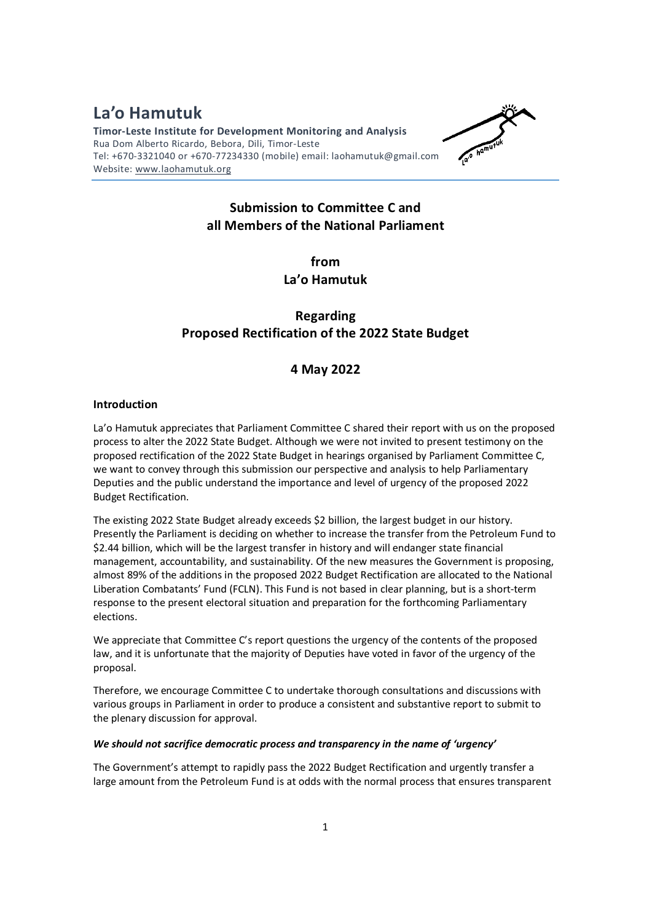**La'o Hamutuk Timor-Leste Institute for Development Monitoring and Analysis**  Rua Dom Alberto Ricardo, Bebora, Dili, Timor-Leste Tel: +670-3321040 or +670-77234330 (mobile) email: laohamutuk@gmail.com Website: www.laohamutuk.org



## **Submission to Committee C and all Members of the National Parliament**

**from La'o Hamutuk** 

# **Regarding Proposed Rectification of the 2022 State Budget**

### **4 May 2022**

#### **Introduction**

La'o Hamutuk appreciates that Parliament Committee C shared their report with us on the proposed process to alter the 2022 State Budget. Although we were not invited to present testimony on the proposed rectification of the 2022 State Budget in hearings organised by Parliament Committee C, we want to convey through this submission our perspective and analysis to help Parliamentary Deputies and the public understand the importance and level of urgency of the proposed 2022 Budget Rectification.

The existing 2022 State Budget already exceeds \$2 billion, the largest budget in our history. Presently the Parliament is deciding on whether to increase the transfer from the Petroleum Fund to \$2.44 billion, which will be the largest transfer in history and will endanger state financial management, accountability, and sustainability. Of the new measures the Government is proposing, almost 89% of the additions in the proposed 2022 Budget Rectification are allocated to the National Liberation Combatants' Fund (FCLN). This Fund is not based in clear planning, but is a short-term response to the present electoral situation and preparation for the forthcoming Parliamentary elections.

We appreciate that Committee C's report questions the urgency of the contents of the proposed law, and it is unfortunate that the majority of Deputies have voted in favor of the urgency of the proposal.

Therefore, we encourage Committee C to undertake thorough consultations and discussions with various groups in Parliament in order to produce a consistent and substantive report to submit to the plenary discussion for approval.

#### *We should not sacrifice democratic process and transparency in the name of 'urgency'*

The Government's attempt to rapidly pass the 2022 Budget Rectification and urgently transfer a large amount from the Petroleum Fund is at odds with the normal process that ensures transparent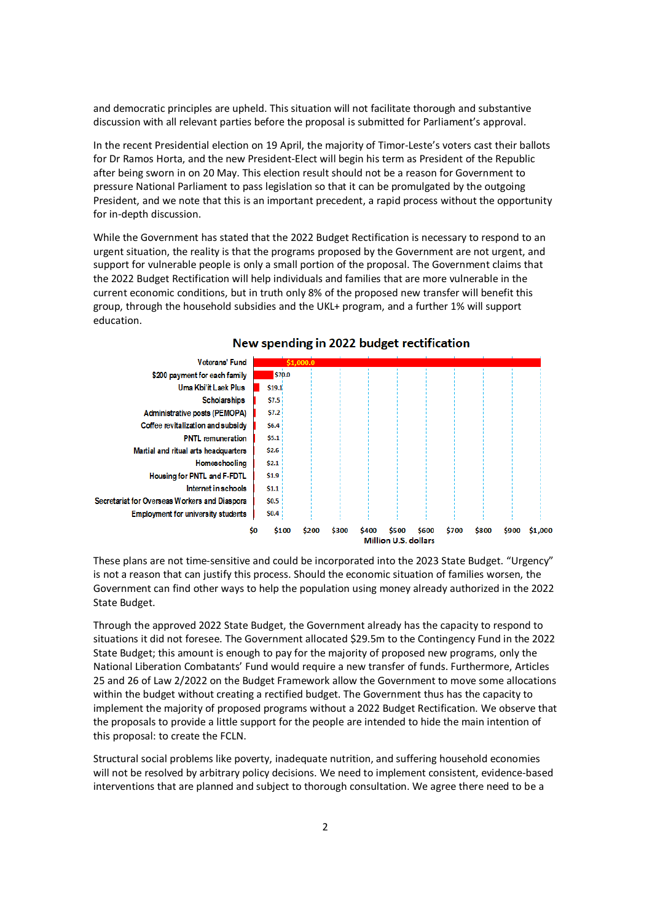and democratic principles are upheld. This situation will not facilitate thorough and substantive discussion with all relevant parties before the proposal is submitted for Parliament's approval.

In the recent Presidential election on 19 April, the majority of Timor-Leste's voters cast their ballots for Dr Ramos Horta, and the new President-Elect will begin his term as President of the Republic after being sworn in on 20 May. This election result should not be a reason for Government to pressure National Parliament to pass legislation so that it can be promulgated by the outgoing President, and we note that this is an important precedent, a rapid process without the opportunity for in-depth discussion.

While the Government has stated that the 2022 Budget Rectification is necessary to respond to an urgent situation, the reality is that the programs proposed by the Government are not urgent, and support for vulnerable people is only a small portion of the proposal. The Government claims that the 2022 Budget Rectification will help individuals and families that are more vulnerable in the current economic conditions, but in truth only 8% of the proposed new transfer will benefit this group, through the household subsidies and the UKL+ program, and a further 1% will support education.



### New spending in 2022 budget rectification

These plans are not time-sensitive and could be incorporated into the 2023 State Budget. "Urgency" is not a reason that can justify this process. Should the economic situation of families worsen, the Government can find other ways to help the population using money already authorized in the 2022 State Budget.

Through the approved 2022 State Budget, the Government already has the capacity to respond to situations it did not foresee. The Government allocated \$29.5m to the Contingency Fund in the 2022 State Budget; this amount is enough to pay for the majority of proposed new programs, only the National Liberation Combatants' Fund would require a new transfer of funds. Furthermore, Articles 25 and 26 of Law 2/2022 on the Budget Framework allow the Government to move some allocations within the budget without creating a rectified budget. The Government thus has the capacity to implement the majority of proposed programs without a 2022 Budget Rectification. We observe that the proposals to provide a little support for the people are intended to hide the main intention of this proposal: to create the FCLN.

Structural social problems like poverty, inadequate nutrition, and suffering household economies will not be resolved by arbitrary policy decisions. We need to implement consistent, evidence-based interventions that are planned and subject to thorough consultation. We agree there need to be a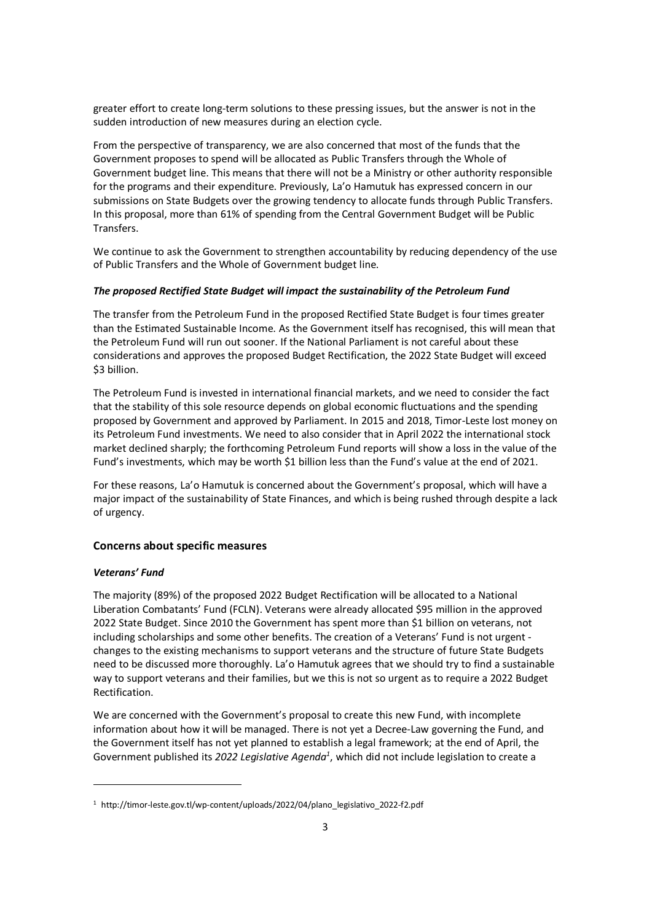greater effort to create long-term solutions to these pressing issues, but the answer is not in the sudden introduction of new measures during an election cycle.

From the perspective of transparency, we are also concerned that most of the funds that the Government proposes to spend will be allocated as Public Transfers through the Whole of Government budget line. This means that there will not be a Ministry or other authority responsible for the programs and their expenditure. Previously, La'o Hamutuk has expressed concern in our submissions on State Budgets over the growing tendency to allocate funds through Public Transfers. In this proposal, more than 61% of spending from the Central Government Budget will be Public Transfers.

We continue to ask the Government to strengthen accountability by reducing dependency of the use of Public Transfers and the Whole of Government budget line.

#### *The proposed Rectified State Budget will impact the sustainability of the Petroleum Fund*

The transfer from the Petroleum Fund in the proposed Rectified State Budget is four times greater than the Estimated Sustainable Income. As the Government itself has recognised, this will mean that the Petroleum Fund will run out sooner. If the National Parliament is not careful about these considerations and approves the proposed Budget Rectification, the 2022 State Budget will exceed \$3 billion.

The Petroleum Fund is invested in international financial markets, and we need to consider the fact that the stability of this sole resource depends on global economic fluctuations and the spending proposed by Government and approved by Parliament. In 2015 and 2018, Timor-Leste lost money on its Petroleum Fund investments. We need to also consider that in April 2022 the international stock market declined sharply; the forthcoming Petroleum Fund reports will show a loss in the value of the Fund's investments, which may be worth \$1 billion less than the Fund's value at the end of 2021.

For these reasons, La'o Hamutuk is concerned about the Government's proposal, which will have a major impact of the sustainability of State Finances, and which is being rushed through despite a lack of urgency.

#### **Concerns about specific measures**

#### *Veterans' Fund*

 $\overline{a}$ 

The majority (89%) of the proposed 2022 Budget Rectification will be allocated to a National Liberation Combatants' Fund (FCLN). Veterans were already allocated \$95 million in the approved 2022 State Budget. Since 2010 the Government has spent more than \$1 billion on veterans, not including scholarships and some other benefits. The creation of a Veterans' Fund is not urgent changes to the existing mechanisms to support veterans and the structure of future State Budgets need to be discussed more thoroughly. La'o Hamutuk agrees that we should try to find a sustainable way to support veterans and their families, but we this is not so urgent as to require a 2022 Budget Rectification.

We are concerned with the Government's proposal to create this new Fund, with incomplete information about how it will be managed. There is not yet a Decree-Law governing the Fund, and the Government itself has not yet planned to establish a legal framework; at the end of April, the Government published its *2022 Legislative Agenda<sup>1</sup>* , which did not include legislation to create a

<sup>&</sup>lt;sup>1</sup> http://timor-leste.gov.tl/wp-content/uploads/2022/04/plano\_legislativo\_2022-f2.pdf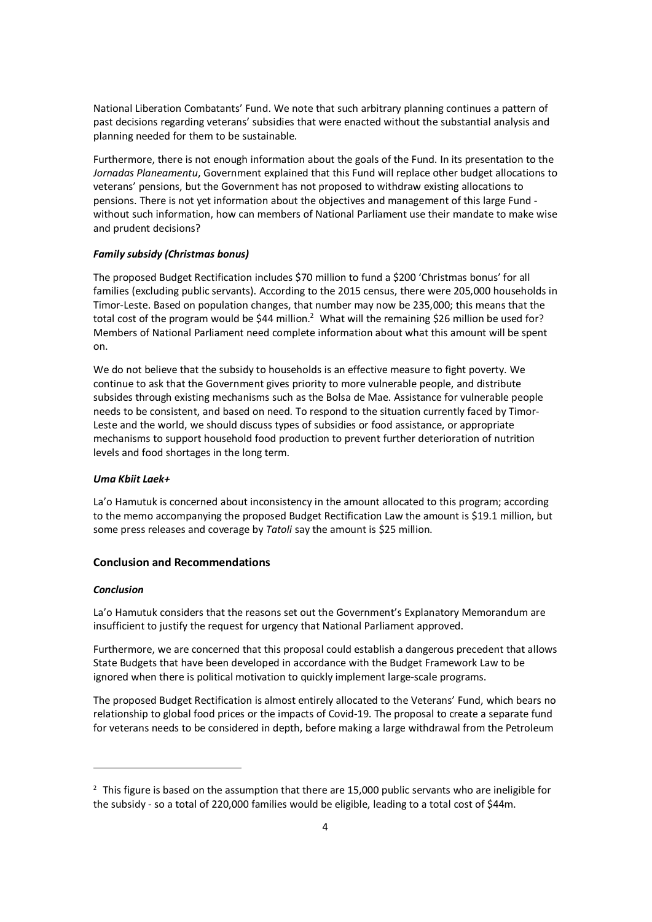National Liberation Combatants' Fund. We note that such arbitrary planning continues a pattern of past decisions regarding veterans' subsidies that were enacted without the substantial analysis and planning needed for them to be sustainable.

Furthermore, there is not enough information about the goals of the Fund. In its presentation to the *Jornadas Planeamentu*, Government explained that this Fund will replace other budget allocations to veterans' pensions, but the Government has not proposed to withdraw existing allocations to pensions. There is not yet information about the objectives and management of this large Fund without such information, how can members of National Parliament use their mandate to make wise and prudent decisions?

#### *Family subsidy (Christmas bonus)*

The proposed Budget Rectification includes \$70 million to fund a \$200 'Christmas bonus' for all families (excluding public servants). According to the 2015 census, there were 205,000 households in Timor-Leste. Based on population changes, that number may now be 235,000; this means that the total cost of the program would be \$44 million.<sup>2</sup> What will the remaining \$26 million be used for? Members of National Parliament need complete information about what this amount will be spent on.

We do not believe that the subsidy to households is an effective measure to fight poverty. We continue to ask that the Government gives priority to more vulnerable people, and distribute subsides through existing mechanisms such as the Bolsa de Mae. Assistance for vulnerable people needs to be consistent, and based on need. To respond to the situation currently faced by Timor-Leste and the world, we should discuss types of subsidies or food assistance, or appropriate mechanisms to support household food production to prevent further deterioration of nutrition levels and food shortages in the long term.

#### *Uma Kbiit Laek+*

La'o Hamutuk is concerned about inconsistency in the amount allocated to this program; according to the memo accompanying the proposed Budget Rectification Law the amount is \$19.1 million, but some press releases and coverage by *Tatoli* say the amount is \$25 million.

#### **Conclusion and Recommendations**

#### *Conclusion*

 $\overline{a}$ 

La'o Hamutuk considers that the reasons set out the Government's Explanatory Memorandum are insufficient to justify the request for urgency that National Parliament approved.

Furthermore, we are concerned that this proposal could establish a dangerous precedent that allows State Budgets that have been developed in accordance with the Budget Framework Law to be ignored when there is political motivation to quickly implement large-scale programs.

The proposed Budget Rectification is almost entirely allocated to the Veterans' Fund, which bears no relationship to global food prices or the impacts of Covid-19. The proposal to create a separate fund for veterans needs to be considered in depth, before making a large withdrawal from the Petroleum

 $2$  This figure is based on the assumption that there are 15,000 public servants who are ineligible for the subsidy - so a total of 220,000 families would be eligible, leading to a total cost of \$44m.